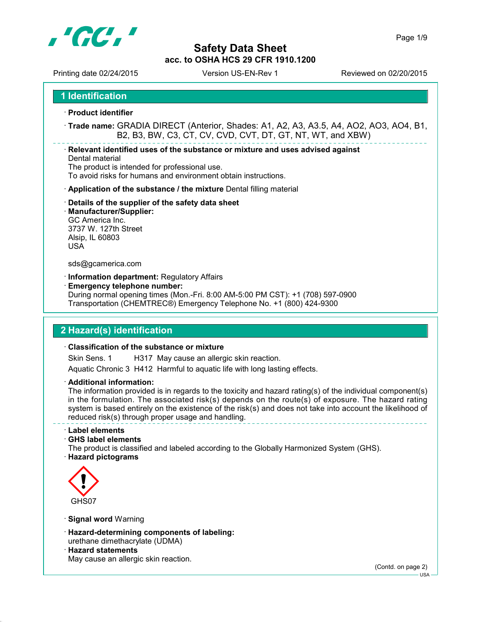

Printing date 02/24/2015 Version US-EN-Rev 1 Reviewed on 02/20/2015

**1 Identification**

**Product identifier**

 **Trade name:** GRADIA DIRECT (Anterior, Shades: A1, A2, A3, A3.5, A4, AO2, AO3, AO4, B1, B2, B3, BW, C3, CT, CV, CVD, CVT, DT, GT, NT, WT, and XBW)

**Relevant identified uses of the substance or mixture and uses advised against**

Dental material The product is intended for professional use.

To avoid risks for humans and environment obtain instructions.

- **Application of the substance / the mixture** Dental filling material
- **Details of the supplier of the safety data sheet**
- **Manufacturer/Supplier:** GC America Inc. 3737 W. 127th Street Alsip, IL 60803 USA

#### sds@gcamerica.com

- **Information department:** Regulatory Affairs
- **Emergency telephone number:**

During normal opening times (Mon.-Fri. 8:00 AM-5:00 PM CST): +1 (708) 597-0900 Transportation (CHEMTREC®) Emergency Telephone No. +1 (800) 424-9300

### **2 Hazard(s) identification**

### **Classification of the substance or mixture**

Skin Sens. 1 H317 May cause an allergic skin reaction. Aquatic Chronic 3 H412 Harmful to aquatic life with long lasting effects.

**Additional information:**

The information provided is in regards to the toxicity and hazard rating(s) of the individual component(s) in the formulation. The associated risk(s) depends on the route(s) of exposure. The hazard rating system is based entirely on the existence of the risk(s) and does not take into account the likelihood of reduced risk(s) through proper usage and handling.

**Label elements**

**GHS label elements**

The product is classified and labeled according to the Globally Harmonized System (GHS).

**Hazard pictograms**



- **Signal word** Warning
- **Hazard-determining components of labeling:** urethane dimethacrylate (UDMA)
- **Hazard statements** May cause an allergic skin reaction.

(Contd. on page 2)

 $-1$ ISA -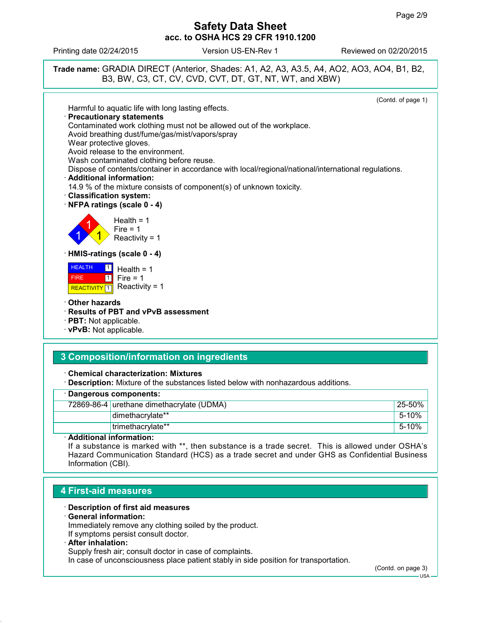Printing date 02/24/2015 Version US-EN-Rev 1 Reviewed on 02/20/2015



# **3 Composition/information on ingredients**

**Chemical characterization: Mixtures**

**Description:** Mixture of the substances listed below with nonhazardous additions.

| · Dangerous components:                   |              |  |
|-------------------------------------------|--------------|--|
| 72869-86-4 urethane dimethacrylate (UDMA) | $125 - 50\%$ |  |
| dimethacrylate**                          | 5-10%        |  |
| trimethacrylate**                         | 5-10%        |  |

#### **Additional information:**

If a substance is marked with \*\*, then substance is a trade secret. This is allowed under OSHA's Hazard Communication Standard (HCS) as a trade secret and under GHS as Confidential Business Information (CBI).

### **4 First-aid measures**

- **Description of first aid measures**
- **General information:**

Immediately remove any clothing soiled by the product. If symptoms persist consult doctor.

#### **After inhalation:**

Supply fresh air; consult doctor in case of complaints.

In case of unconsciousness place patient stably in side position for transportation.

(Contd. on page 3)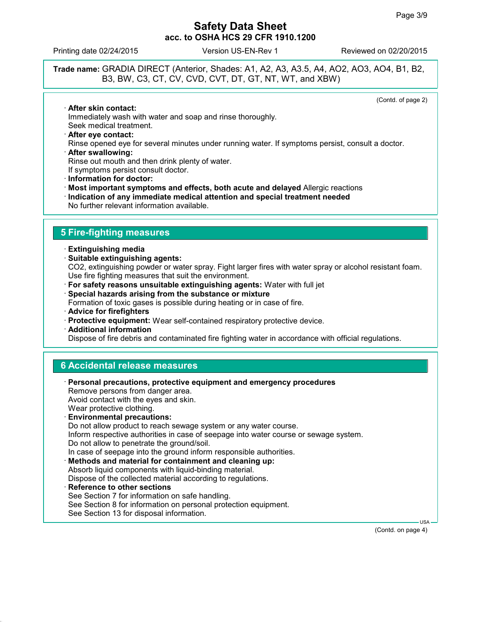Printing date 02/24/2015 Version US-EN-Rev 1 Reviewed on 02/20/2015

**Trade name:** GRADIA DIRECT (Anterior, Shades: A1, A2, A3, A3.5, A4, AO2, AO3, AO4, B1, B2, B3, BW, C3, CT, CV, CVD, CVT, DT, GT, NT, WT, and XBW)

(Contd. of page 2)

 **After skin contact:** Immediately wash with water and soap and rinse thoroughly. Seek medical treatment.

- **After eye contact:** Rinse opened eye for several minutes under running water. If symptoms persist, consult a doctor.
- **After swallowing:** Rinse out mouth and then drink plenty of water. If symptoms persist consult doctor.
- **Information for doctor:**
- **Most important symptoms and effects, both acute and delayed** Allergic reactions
- **Indication of any immediate medical attention and special treatment needed**
- No further relevant information available.

## **5 Fire-fighting measures**

- **Extinguishing media**
- **Suitable extinguishing agents:** CO2, extinguishing powder or water spray. Fight larger fires with water spray or alcohol resistant foam. Use fire fighting measures that suit the environment.
- **For safety reasons unsuitable extinguishing agents:** Water with full jet
- **Special hazards arising from the substance or mixture**

Formation of toxic gases is possible during heating or in case of fire.

- **Advice for firefighters**
- **Protective equipment:** Wear self-contained respiratory protective device.
- **Additional information**

Dispose of fire debris and contaminated fire fighting water in accordance with official regulations.

### **6 Accidental release measures**

 **Personal precautions, protective equipment and emergency procedures** Remove persons from danger area. Avoid contact with the eyes and skin. Wear protective clothing. **Environmental precautions:** Do not allow product to reach sewage system or any water course. Inform respective authorities in case of seepage into water course or sewage system. Do not allow to penetrate the ground/soil. In case of seepage into the ground inform responsible authorities. **Methods and material for containment and cleaning up:** Absorb liquid components with liquid-binding material. Dispose of the collected material according to regulations. **Reference to other sections** See Section 7 for information on safe handling. See Section 8 for information on personal protection equipment.

See Section 13 for disposal information.

(Contd. on page 4)

USA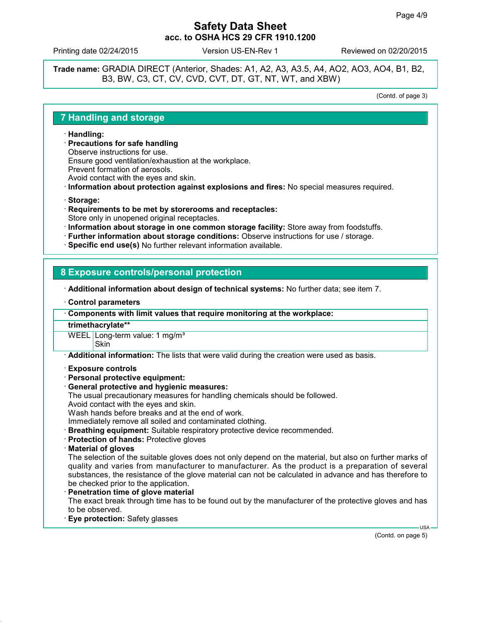Printing date 02/24/2015 Version US-EN-Rev 1 Reviewed on 02/20/2015

**Trade name:** GRADIA DIRECT (Anterior, Shades: A1, A2, A3, A3.5, A4, AO2, AO3, AO4, B1, B2, B3, BW, C3, CT, CV, CVD, CVT, DT, GT, NT, WT, and XBW)

(Contd. of page 3)

### **7 Handling and storage**

- **Handling:**
- **Precautions for safe handling**
- Observe instructions for use.

Ensure good ventilation/exhaustion at the workplace.

Prevent formation of aerosols.

Avoid contact with the eyes and skin.

- **Information about protection against explosions and fires:** No special measures required.
- **Storage:**
- **Requirements to be met by storerooms and receptacles:** Store only in unopened original receptacles.
- **Information about storage in one common storage facility:** Store away from foodstuffs.
- **Further information about storage conditions:** Observe instructions for use / storage.
- **Specific end use(s)** No further relevant information available.

### **8 Exposure controls/personal protection**

**Additional information about design of technical systems:** No further data; see item 7.

- **Control parameters**
- **Components with limit values that require monitoring at the workplace:**

#### **trimethacrylate\*\***

WEEL Long-term value: 1 mg/m<sup>3</sup> **Skin** 

**Additional information:** The lists that were valid during the creation were used as basis.

#### **Exposure controls**

- **Personal protective equipment:**
- **General protective and hygienic measures:**
- The usual precautionary measures for handling chemicals should be followed.
- Avoid contact with the eyes and skin.

Wash hands before breaks and at the end of work.

Immediately remove all soiled and contaminated clothing.

- **Breathing equipment:** Suitable respiratory protective device recommended.
- **Protection of hands:** Protective gloves
- **Material of gloves**

The selection of the suitable gloves does not only depend on the material, but also on further marks of quality and varies from manufacturer to manufacturer. As the product is a preparation of several substances, the resistance of the glove material can not be calculated in advance and has therefore to be checked prior to the application.

### **Penetration time of glove material**

The exact break through time has to be found out by the manufacturer of the protective gloves and has to be observed.

**Eye protection:** Safety glasses

(Contd. on page 5)

USA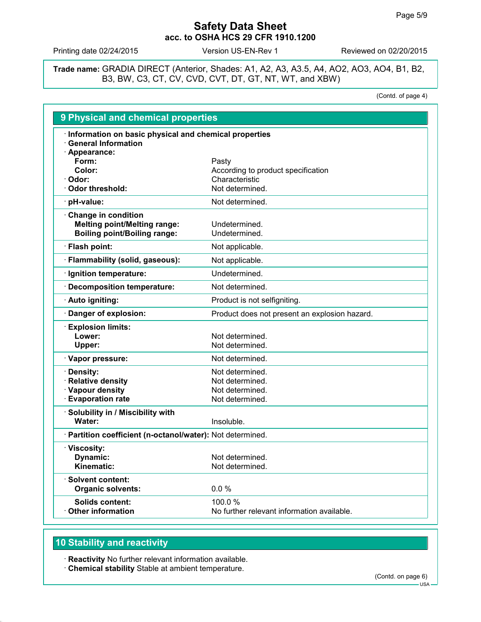Printing date 02/24/2015 Version US-EN-Rev 1 Reviewed on 02/20/2015

**Trade name:** GRADIA DIRECT (Anterior, Shades: A1, A2, A3, A3.5, A4, AO2, AO3, AO4, B1, B2, B3, BW, C3, CT, CV, CVD, CVT, DT, GT, NT, WT, and XBW)

(Contd. of page 4)

| <b>9 Physical and chemical properties</b>                                                                     |                                                      |
|---------------------------------------------------------------------------------------------------------------|------------------------------------------------------|
| · Information on basic physical and chemical properties<br><b>General Information</b><br>Appearance:<br>Form: | Pasty                                                |
| Color:                                                                                                        | According to product specification                   |
| Odor:                                                                                                         | Characteristic                                       |
| Odor threshold:                                                                                               | Not determined.                                      |
| pH-value:                                                                                                     | Not determined.                                      |
| Change in condition<br><b>Melting point/Melting range:</b><br><b>Boiling point/Boiling range:</b>             | Undetermined.<br>Undetermined.                       |
| · Flash point:                                                                                                | Not applicable.                                      |
| · Flammability (solid, gaseous):                                                                              | Not applicable.                                      |
| · Ignition temperature:                                                                                       | Undetermined.                                        |
| <b>Decomposition temperature:</b>                                                                             | Not determined.                                      |
| · Auto igniting:                                                                                              | Product is not selfigniting.                         |
| · Danger of explosion:                                                                                        | Product does not present an explosion hazard.        |
| <b>Explosion limits:</b><br>Lower:<br>Upper:                                                                  | Not determined.<br>Not determined.                   |
| · Vapor pressure:                                                                                             | Not determined.                                      |
| Density:                                                                                                      | Not determined.                                      |
| <b>Relative density</b>                                                                                       | Not determined.                                      |
| <b>Vapour density</b>                                                                                         | Not determined.                                      |
| <b>Evaporation rate</b>                                                                                       | Not determined.                                      |
| · Solubility in / Miscibility with<br>Water:                                                                  | Insoluble.                                           |
| · Partition coefficient (n-octanol/water): Not determined.                                                    |                                                      |
| · Viscosity:                                                                                                  |                                                      |
| <b>Dynamic:</b>                                                                                               | Not determined.                                      |
| Kinematic:                                                                                                    | Not determined.                                      |
| <b>Solvent content:</b><br><b>Organic solvents:</b>                                                           | 0.0%                                                 |
| <b>Solids content:</b><br><b>Other information</b>                                                            | 100.0%<br>No further relevant information available. |
|                                                                                                               |                                                      |

# **10 Stability and reactivity**

**Reactivity** No further relevant information available.

**Chemical stability** Stable at ambient temperature.

(Contd. on page 6)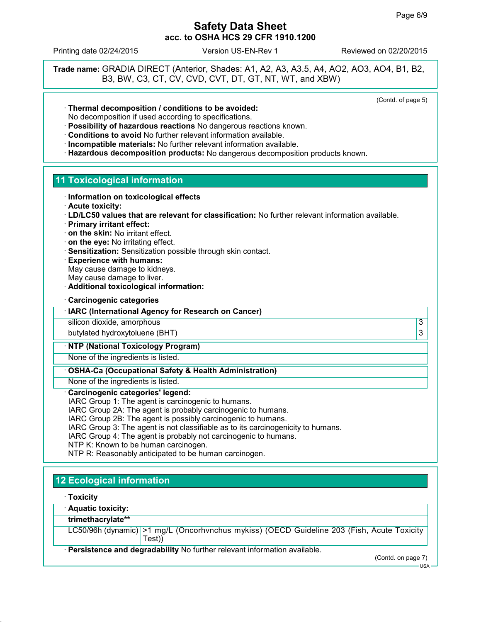Printing date 02/24/2015 Version US-EN-Rev 1 Reviewed on 02/20/2015

**Trade name:** GRADIA DIRECT (Anterior, Shades: A1, A2, A3, A3.5, A4, AO2, AO3, AO4, B1, B2, B3, BW, C3, CT, CV, CVD, CVT, DT, GT, NT, WT, and XBW)

(Contd. of page 5)

- **Thermal decomposition / conditions to be avoided:** No decomposition if used according to specifications.
- **Possibility of hazardous reactions** No dangerous reactions known.
- **Conditions to avoid** No further relevant information available.
- **Incompatible materials:** No further relevant information available.
- **Hazardous decomposition products:** No dangerous decomposition products known.

### **11 Toxicological information**

- **Information on toxicological effects**
- **Acute toxicity:**
- **LD/LC50 values that are relevant for classification:** No further relevant information available.
- **Primary irritant effect:**
- **on the skin:** No irritant effect.
- **on the eye:** No irritating effect.
- **Sensitization:** Sensitization possible through skin contact.
- **Experience with humans:** May cause damage to kidneys. May cause damage to liver.
- **Additional toxicological information:**
- **Carcinogenic categories**

#### **IARC (International Agency for Research on Cancer)**

silicon dioxide, amorphous 3

butylated hydroxytoluene (BHT) 3

### **NTP (National Toxicology Program)**

None of the ingredients is listed.

**OSHA-Ca (Occupational Safety & Health Administration)**

None of the ingredients is listed.

#### **Carcinogenic categories' legend:**

IARC Group 1: The agent is carcinogenic to humans.

IARC Group 2A: The agent is probably carcinogenic to humans.

IARC Group 2B: The agent is possibly carcinogenic to humans.

- IARC Group 3: The agent is not classifiable as to its carcinogenicity to humans.
- IARC Group 4: The agent is probably not carcinogenic to humans.

NTP K: Known to be human carcinogen.

NTP R: Reasonably anticipated to be human carcinogen.

# **12 Ecological information**

**Toxicity**

**Aquatic toxicity:**

### **trimethacrylate\*\***

LC50/96h (dynamic) >1 mg/L (Oncorhvnchus mykiss) (OECD Guideline 203 (Fish, Acute Toxicity Test))

**Persistence and degradability** No further relevant information available.

(Contd. on page 7)

USA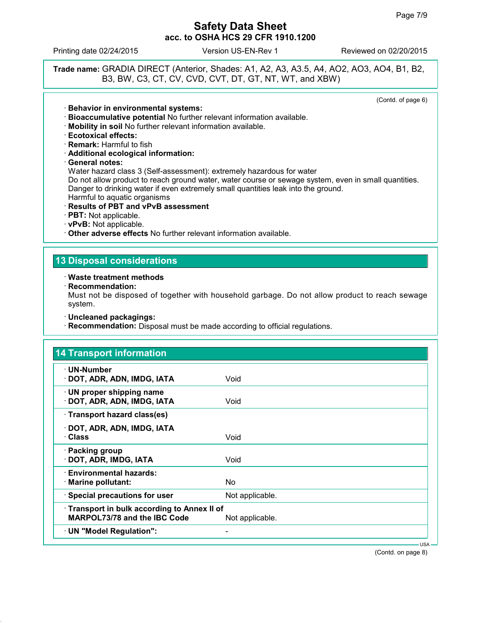Printing date 02/24/2015 Version US-EN-Rev 1 Reviewed on 02/20/2015

**Trade name:** GRADIA DIRECT (Anterior, Shades: A1, A2, A3, A3.5, A4, AO2, AO3, AO4, B1, B2, B3, BW, C3, CT, CV, CVD, CVT, DT, GT, NT, WT, and XBW)

(Contd. of page 6)

- **Behavior in environmental systems:**
- **Bioaccumulative potential** No further relevant information available.
- **Mobility in soil** No further relevant information available.
- **Ecotoxical effects:**
- **Remark:** Harmful to fish
- **Additional ecological information:**
- **General notes:**

Water hazard class 3 (Self-assessment): extremely hazardous for water

Do not allow product to reach ground water, water course or sewage system, even in small quantities. Danger to drinking water if even extremely small quantities leak into the ground. Harmful to aquatic organisms

- **Results of PBT and vPvB assessment**
- **PBT:** Not applicable.
- **vPvB:** Not applicable.

**Other adverse effects** No further relevant information available.

### **13 Disposal considerations**

**Waste treatment methods**

**Recommendation:**

Must not be disposed of together with household garbage. Do not allow product to reach sewage system.

**Uncleaned packagings:**

**Recommendation:** Disposal must be made according to official regulations.

| · UN-Number                                |                 |  |
|--------------------------------------------|-----------------|--|
| · DOT, ADR, ADN, IMDG, IATA                | Void            |  |
| · UN proper shipping name                  |                 |  |
| · DOT, ADR, ADN, IMDG, IATA                | Void            |  |
| · Transport hazard class(es)               |                 |  |
| · DOT, ADR, ADN, IMDG, IATA                |                 |  |
| · Class                                    | Void            |  |
| · Packing group                            |                 |  |
| · DOT, ADR, IMDG, IATA                     | Void            |  |
| · Environmental hazards:                   |                 |  |
| $\cdot$ Marine pollutant:                  | No.             |  |
| · Special precautions for user             | Not applicable. |  |
| Transport in bulk according to Annex II of |                 |  |
| MARPOL73/78 and the IBC Code               | Not applicable. |  |

(Contd. on page 8)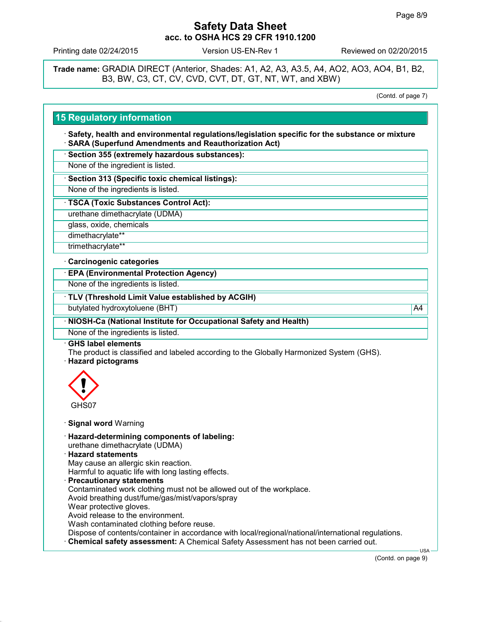Printing date 02/24/2015 Version US-EN-Rev 1 Reviewed on 02/20/2015

**Trade name:** GRADIA DIRECT (Anterior, Shades: A1, A2, A3, A3.5, A4, AO2, AO3, AO4, B1, B2, B3, BW, C3, CT, CV, CVD, CVT, DT, GT, NT, WT, and XBW)

(Contd. of page 7)

## **15 Regulatory information**

 **Safety, health and environmental regulations/legislation specific for the substance or mixture SARA (Superfund Amendments and Reauthorization Act)**

**Section 355 (extremely hazardous substances):**

None of the ingredient is listed.

**Section 313 (Specific toxic chemical listings):**

None of the ingredients is listed.

**TSCA (Toxic Substances Control Act):**

urethane dimethacrylate (UDMA)

glass, oxide, chemicals

dimethacrylate\*\*

trimethacrylate\*\*

#### **Carcinogenic categories**

**EPA (Environmental Protection Agency)**

None of the ingredients is listed.

**TLV (Threshold Limit Value established by ACGIH)**

butylated hydroxytoluene (BHT) and the control of the control of the control of the control of the control of the control of the control of the control of the control of the control of the control of the control of the con

**NIOSH-Ca (National Institute for Occupational Safety and Health)**

None of the ingredients is listed.

**GHS label elements**

The product is classified and labeled according to the Globally Harmonized System (GHS).

**Hazard pictograms**



**Signal word** Warning

**Hazard-determining components of labeling:**

urethane dimethacrylate (UDMA)

- **Hazard statements** May cause an allergic skin reaction. Harmful to aquatic life with long lasting effects.
- **Precautionary statements** Contaminated work clothing must not be allowed out of the workplace. Avoid breathing dust/fume/gas/mist/vapors/spray Wear protective gloves. Avoid release to the environment. Wash contaminated clothing before reuse. Dispose of contents/container in accordance with local/regional/national/international regulations. **Chemical safety assessment:** A Chemical Safety Assessment has not been carried out.

(Contd. on page 9)

USA